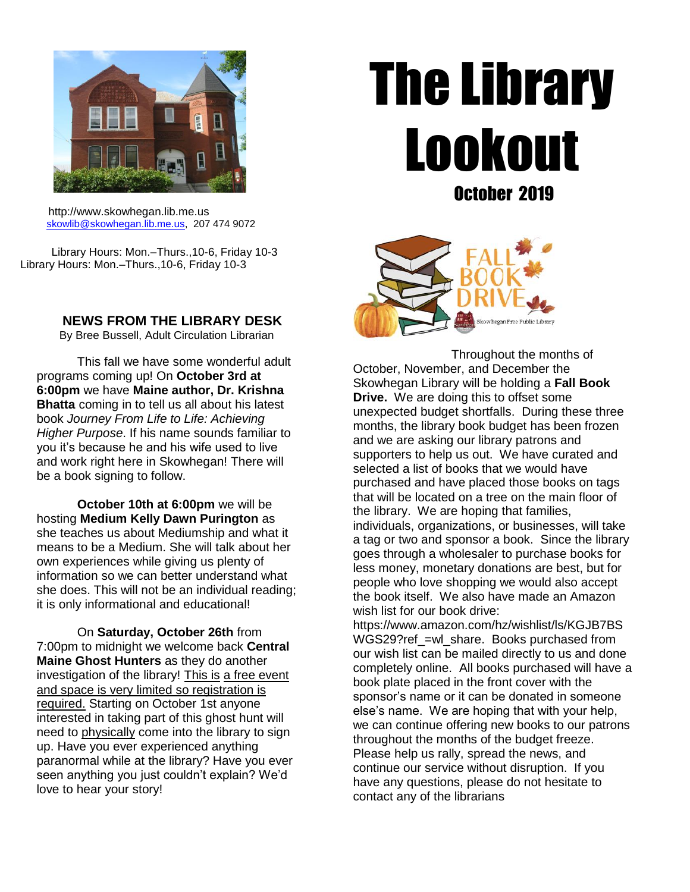

 http://www.skowhegan.lib.me.us [skowlib@skowhegan.lib.me.us,](mailto:skowlib@skowhegan.lib.me.us) 207 474 9072

 Library Hours: Mon.–Thurs.,10-6, Friday 10-3 Library Hours: Mon.–Thurs.,10-6, Friday 10-3

**NEWS FROM THE LIBRARY DESK**

By Bree Bussell, Adult Circulation Librarian

This fall we have some wonderful adult programs coming up! On **October 3rd at 6:00pm** we have **Maine author, Dr. Krishna Bhatta** coming in to tell us all about his latest book *Journey From Life to Life: Achieving Higher Purpose*. If his name sounds familiar to you it's because he and his wife used to live and work right here in Skowhegan! There will be a book signing to follow.

**October 10th at 6:00pm** we will be hosting **Medium Kelly Dawn Purington** as she teaches us about Mediumship and what it means to be a Medium. She will talk about her own experiences while giving us plenty of information so we can better understand what she does. This will not be an individual reading; it is only informational and educational!

On **Saturday, October 26th** from 7:00pm to midnight we welcome back **Central Maine Ghost Hunters** as they do another investigation of the library! This is a free event and space is very limited so registration is required. Starting on October 1st anyone interested in taking part of this ghost hunt will need to physically come into the library to sign up. Have you ever experienced anything paranormal while at the library? Have you ever seen anything you just couldn't explain? We'd love to hear your story!

# The Library Lookout October 2019



 Throughout the months of October, November, and December the Skowhegan Library will be holding a **Fall Book Drive.** We are doing this to offset some unexpected budget shortfalls. During these three months, the library book budget has been frozen and we are asking our library patrons and supporters to help us out. We have curated and selected a list of books that we would have purchased and have placed those books on tags that will be located on a tree on the main floor of the library. We are hoping that families, individuals, organizations, or businesses, will take a tag or two and sponsor a book. Since the library goes through a wholesaler to purchase books for less money, monetary donations are best, but for people who love shopping we would also accept the book itself. We also have made an Amazon wish list for our book drive: https://www.amazon.com/hz/wishlist/ls/KGJB7BS

WGS29?ref =wl\_share. Books purchased from our wish list can be mailed directly to us and done completely online. All books purchased will have a book plate placed in the front cover with the sponsor's name or it can be donated in someone else's name. We are hoping that with your help, we can continue offering new books to our patrons throughout the months of the budget freeze. Please help us rally, spread the news, and continue our service without disruption. If you have any questions, please do not hesitate to contact any of the librarians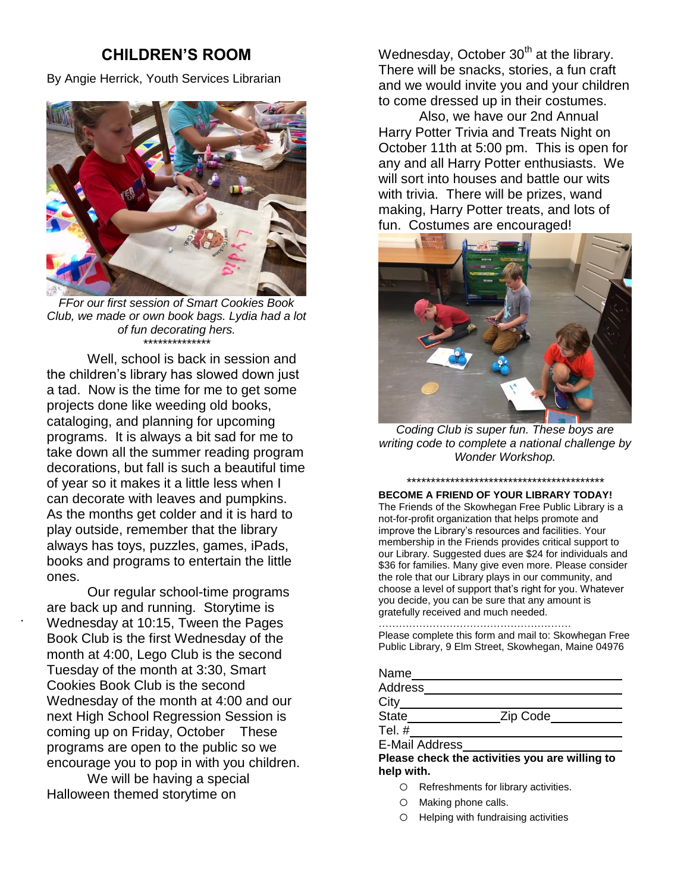# **CHILDREN'S ROOM**

By Angie Herrick, Youth Services Librarian



*FFor our first session of Smart Cookies Book Club, we made or own book bags. Lydia had a lot of fun decorating hers. \*\*\*\*\*\*\*\*\*\*\*\*\*\**

Well, school is back in session and the children's library has slowed down just a tad. Now is the time for me to get some projects done like weeding old books, cataloging, and planning for upcoming programs. It is always a bit sad for me to take down all the summer reading program decorations, but fall is such a beautiful time of year so it makes it a little less when I can decorate with leaves and pumpkins. As the months get colder and it is hard to play outside, remember that the library always has toys, puzzles, games, iPads, books and programs to entertain the little ones.

Our regular school-time programs are back up and running. Storytime is Wednesday at 10:15, Tween the Pages Book Club is the first Wednesday of the month at 4:00, Lego Club is the second Tuesday of the month at 3:30, Smart Cookies Book Club is the second Wednesday of the month at 4:00 and our next High School Regression Session is coming up on Friday, October These programs are open to the public so we encourage you to pop in with you children. We will be having a special

Halloween themed storytime on

.

Wednesday, October  $30<sup>th</sup>$  at the library. There will be snacks, stories, a fun craft and we would invite you and your children to come dressed up in their costumes.

Also, we have our 2nd Annual Harry Potter Trivia and Treats Night on October 11th at 5:00 pm. This is open for any and all Harry Potter enthusiasts. We will sort into houses and battle our wits with trivia. There will be prizes, wand making, Harry Potter treats, and lots of fun. Costumes are encouraged!



*Coding Club is super fun. These boys are writing code to complete a national challenge by Wonder Workshop.*

## *\*\*\*\*\*\*\*\*\*\*\*\*\*\*\*\*\*\*\*\*\*\*\*\*\*\*\*\*\*\*\*\*\*\*\*\*\*\*\*\*\**

**BECOME A FRIEND OF YOUR LIBRARY TODAY!**

The Friends of the Skowhegan Free Public Library is a not-for-profit organization that helps promote and improve the Library's resources and facilities. Your membership in the Friends provides critical support to our Library. Suggested dues are \$24 for individuals and \$36 for families. Many give even more. Please consider the role that our Library plays in our community, and choose a level of support that's right for you. Whatever you decide, you can be sure that any amount is gratefully received and much needed.

#### …………………………………………………

Please complete this form and mail to: Skowhegan Free Public Library, 9 Elm Street, Skowhegan, Maine 04976

| Name                                           |          |
|------------------------------------------------|----------|
| Address                                        |          |
| $City_$                                        |          |
| <b>State</b>                                   | Zip Code |
| Tel. $#$                                       |          |
| <b>E-Mail Address</b>                          |          |
| Please check the activities you are willing to |          |

**help with.**

- o Refreshments for library activities.
- o Making phone calls.
- o Helping with fundraising activities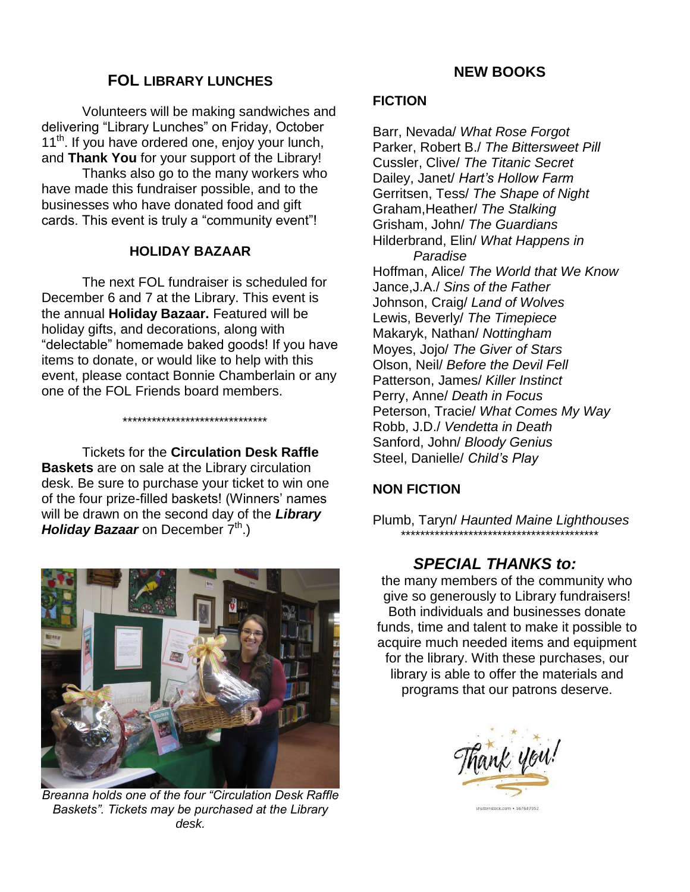# **FOL LIBRARY LUNCHES**

Volunteers will be making sandwiches and delivering "Library Lunches" on Friday, October  $11<sup>th</sup>$ . If you have ordered one, enjoy your lunch, and **Thank You** for your support of the Library!

Thanks also go to the many workers who have made this fundraiser possible, and to the businesses who have donated food and gift cards. This event is truly a "community event"!

## **HOLIDAY BAZAAR**

The next FOL fundraiser is scheduled for December 6 and 7 at the Library. This event is the annual **Holiday Bazaar.** Featured will be holiday gifts, and decorations, along with "delectable" homemade baked goods! If you have items to donate, or would like to help with this event, please contact Bonnie Chamberlain or any one of the FOL Friends board members.

\*\*\*\*\*\*\*\*\*\*\*\*\*\*\*\*\*\*\*\*\*\*\*\*\*\*\*\*\*\*

Tickets for the **Circulation Desk Raffle Baskets** are on sale at the Library circulation desk. Be sure to purchase your ticket to win one of the four prize-filled baskets! (Winners' names will be drawn on the second day of the *Library Holiday Bazaar* on December  $7<sup>th</sup>$ .)



*Breanna holds one of the four "Circulation Desk Raffle Baskets". Tickets may be purchased at the Library desk.*

# **NEW BOOKS**

## **FICTION**

Barr, Nevada/ *What Rose Forgot* Parker, Robert B./ *The Bittersweet Pill* Cussler, Clive/ *The Titanic Secret* Dailey, Janet/ *Hart's Hollow Farm* Gerritsen, Tess/ *The Shape of Night* Graham,Heather/ *The Stalking* Grisham, John/ *The Guardians* Hilderbrand, Elin/ *What Happens in Paradise* Hoffman, Alice/ *The World that We Know* Jance,J.A./ *Sins of the Father* Johnson, Craig/ *Land of Wolves* Lewis, Beverly/ *The Timepiece* Makaryk, Nathan/ *Nottingham* Moyes, Jojo/ *The Giver of Stars* Olson, Neil/ *Before the Devil Fell* Patterson, James/ *Killer Instinct* Perry, Anne/ *Death in Focus* Peterson, Tracie/ *What Comes My Way* Robb, J.D./ *Vendetta in Death* Sanford, John/ *Bloody Genius* Steel, Danielle/ *Child's Play*

# **NON FICTION**

Plumb, Taryn/ *Haunted Maine Lighthouses \*\*\*\*\*\*\*\*\*\*\*\*\*\*\*\*\*\*\*\*\*\*\*\*\*\*\*\*\*\*\*\*\*\*\*\*\*\*\*\*\**

# *SPECIAL THANKS to:*

the many members of the community who give so generously to Library fundraisers! Both individuals and businesses donate funds, time and talent to make it possible to acquire much needed items and equipment for the library. With these purchases, our library is able to offer the materials and programs that our patrons deserve.



terstock.com + 567687052